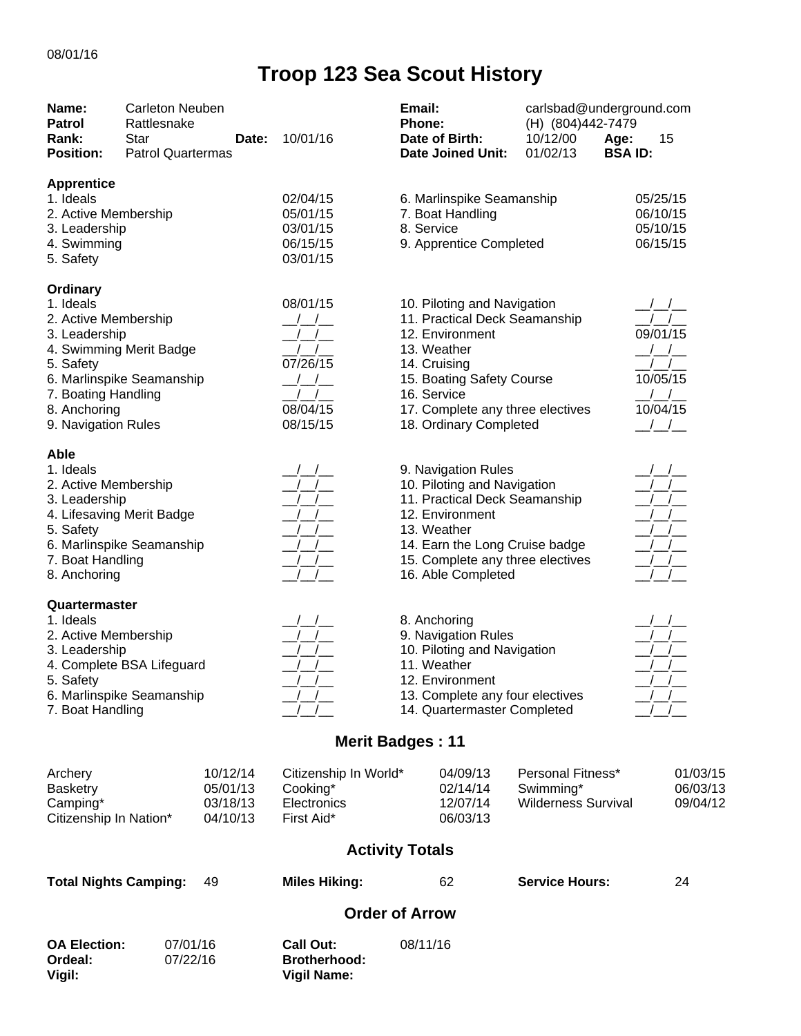## **Troop 123 Sea Scout History**

| Name:<br><b>Patrol</b><br>Rank:<br><b>Position:</b>                                                                                                                                                      | <b>Carleton Neuben</b><br>Rattlesnake<br><b>Star</b><br><b>Patrol Quartermas</b> | Date:                                        | 10/01/16                                                                              | Email:<br>Phone:<br>Date of Birth:<br><b>Date Joined Unit:</b>                                                                                                                                                           | (H) (804)442-7479<br>10/12/00<br>01/02/13                    | carlsbad@underground.com<br>Age:<br>15<br><b>BSAID:</b> |
|----------------------------------------------------------------------------------------------------------------------------------------------------------------------------------------------------------|----------------------------------------------------------------------------------|----------------------------------------------|---------------------------------------------------------------------------------------|--------------------------------------------------------------------------------------------------------------------------------------------------------------------------------------------------------------------------|--------------------------------------------------------------|---------------------------------------------------------|
| <b>Apprentice</b><br>1. Ideals<br>2. Active Membership<br>3. Leadership<br>4. Swimming<br>5. Safety                                                                                                      |                                                                                  |                                              | 02/04/15<br>05/01/15<br>03/01/15<br>06/15/15<br>03/01/15                              | 6. Marlinspike Seamanship<br>7. Boat Handling<br>8. Service<br>9. Apprentice Completed                                                                                                                                   |                                                              | 05/25/15<br>06/10/15<br>05/10/15<br>06/15/15            |
| <b>Ordinary</b><br>1. Ideals<br>2. Active Membership<br>3. Leadership<br>4. Swimming Merit Badge<br>5. Safety<br>6. Marlinspike Seamanship<br>7. Boating Handling<br>8. Anchoring<br>9. Navigation Rules |                                                                                  |                                              | 08/01/15<br>$\frac{1}{\sqrt{2}}$<br>07/26/15<br>$\frac{1}{2}$<br>08/04/15<br>08/15/15 | 10. Piloting and Navigation<br>11. Practical Deck Seamanship<br>12. Environment<br>13. Weather<br>14. Cruising<br>15. Boating Safety Course<br>16. Service<br>17. Complete any three electives<br>18. Ordinary Completed |                                                              | 09/01/15<br>$\frac{1}{2}$<br>10/05/15<br>10/04/15       |
| Able<br>1. Ideals<br>2. Active Membership<br>3. Leadership<br>4. Lifesaving Merit Badge<br>5. Safety<br>6. Marlinspike Seamanship<br>7. Boat Handling<br>8. Anchoring                                    |                                                                                  |                                              |                                                                                       | 9. Navigation Rules<br>10. Piloting and Navigation<br>11. Practical Deck Seamanship<br>12. Environment<br>13. Weather<br>14. Earn the Long Cruise badge<br>15. Complete any three electives<br>16. Able Completed        |                                                              | $\left  \begin{array}{c} \end{array} \right $           |
| Quartermaster<br>1. Ideals<br>2. Active Membership<br>3. Leadership<br>4. Complete BSA Lifeguard<br>5. Safety<br>6. Marlinspike Seamanship<br>7. Boat Handling                                           |                                                                                  |                                              |                                                                                       | 8. Anchoring<br>9. Navigation Rules<br>10. Piloting and Navigation<br>11. Weather<br>12. Environment<br>13. Complete any four electives<br>14. Quartermaster Completed                                                   |                                                              |                                                         |
|                                                                                                                                                                                                          |                                                                                  |                                              |                                                                                       | <b>Merit Badges: 11</b>                                                                                                                                                                                                  |                                                              |                                                         |
| Archery<br><b>Basketry</b><br>Camping*<br>Citizenship In Nation*                                                                                                                                         |                                                                                  | 10/12/14<br>05/01/13<br>03/18/13<br>04/10/13 | Citizenship In World*<br>Cooking*<br>Electronics<br>First Aid*                        | 04/09/13<br>02/14/14<br>12/07/14<br>06/03/13                                                                                                                                                                             | Personal Fitness*<br>Swimming*<br><b>Wilderness Survival</b> | 01/03/15<br>06/03/13<br>09/04/12                        |
|                                                                                                                                                                                                          |                                                                                  |                                              |                                                                                       | <b>Activity Totals</b>                                                                                                                                                                                                   |                                                              |                                                         |
| <b>Total Nights Camping:</b>                                                                                                                                                                             |                                                                                  | 49                                           | <b>Miles Hiking:</b>                                                                  | 62                                                                                                                                                                                                                       | <b>Service Hours:</b>                                        | 24                                                      |
|                                                                                                                                                                                                          |                                                                                  |                                              |                                                                                       | <b>Order of Arrow</b>                                                                                                                                                                                                    |                                                              |                                                         |
| <b>OA Election:</b><br>Ordeal:<br>Vigil:                                                                                                                                                                 | 07/01/16<br>07/22/16                                                             |                                              | <b>Call Out:</b><br><b>Brotherhood:</b><br><b>Vigil Name:</b>                         | 08/11/16                                                                                                                                                                                                                 |                                                              |                                                         |